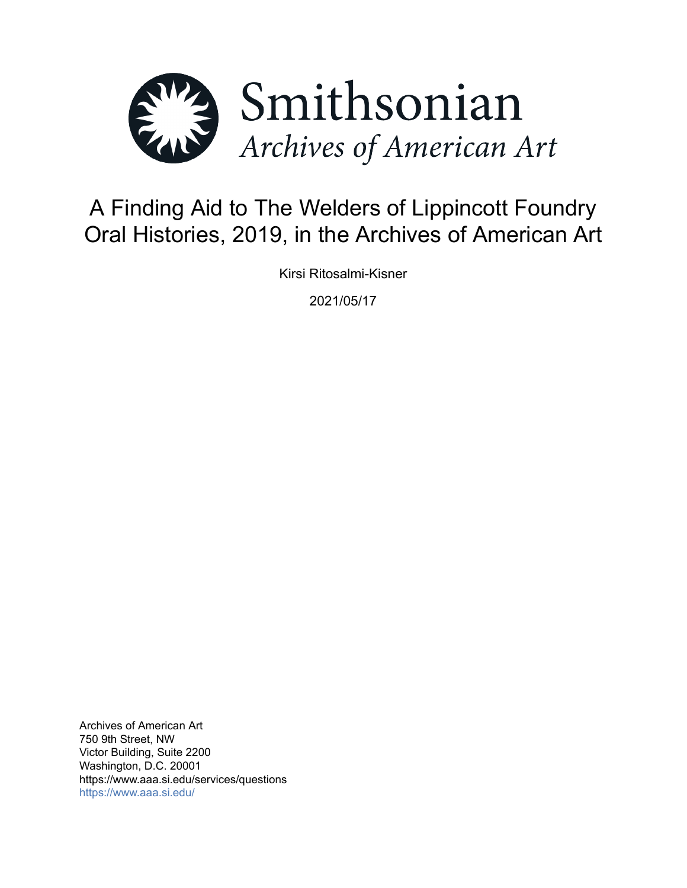

# A Finding Aid to The Welders of Lippincott Foundry Oral Histories, 2019, in the Archives of American Art

Kirsi Ritosalmi-Kisner

2021/05/17

Archives of American Art 750 9th Street, NW Victor Building, Suite 2200 Washington, D.C. 20001 https://www.aaa.si.edu/services/questions <https://www.aaa.si.edu/>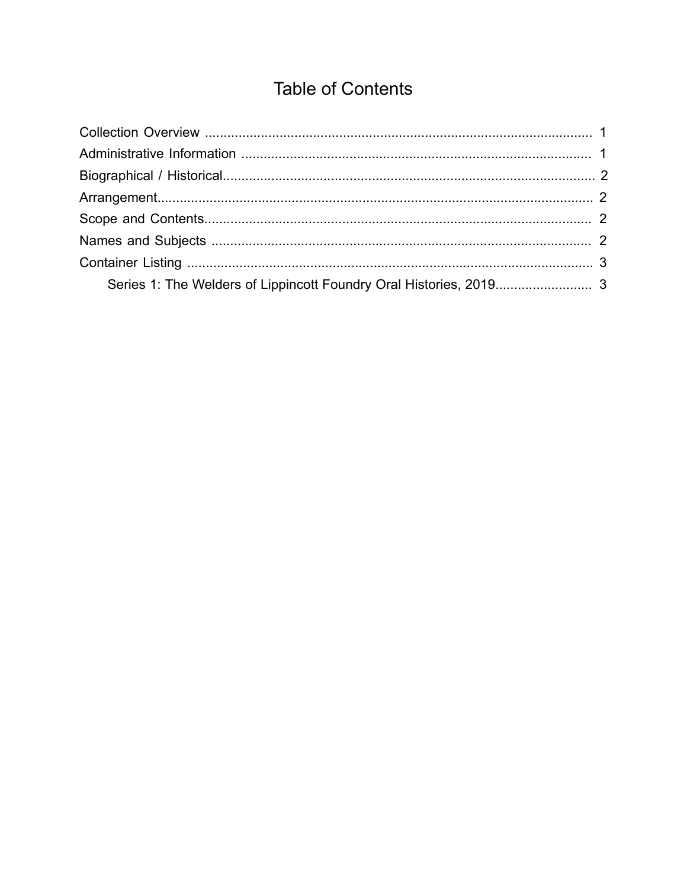## **Table of Contents**

<span id="page-1-0"></span>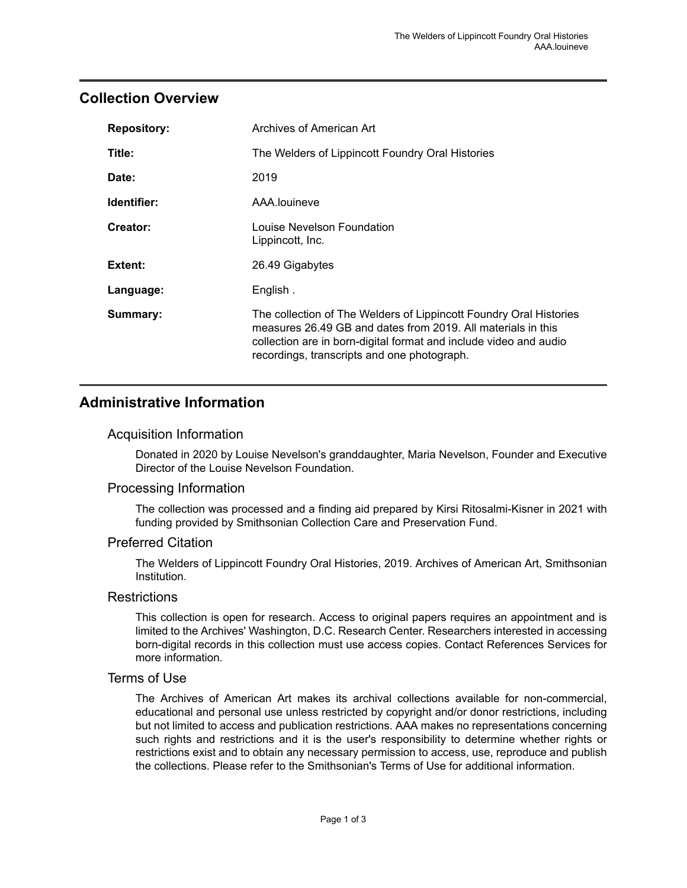### <span id="page-2-0"></span>**Collection Overview**

| <b>Repository:</b> | Archives of American Art                                                                                                                                                                                                                               |
|--------------------|--------------------------------------------------------------------------------------------------------------------------------------------------------------------------------------------------------------------------------------------------------|
| Title:             | The Welders of Lippincott Foundry Oral Histories                                                                                                                                                                                                       |
| Date:              | 2019                                                                                                                                                                                                                                                   |
| Identifier:        | AAA.louineve                                                                                                                                                                                                                                           |
| Creator:           | Louise Nevelson Foundation<br>Lippincott, Inc.                                                                                                                                                                                                         |
| Extent:            | 26.49 Gigabytes                                                                                                                                                                                                                                        |
| Language:          | English.                                                                                                                                                                                                                                               |
| Summary:           | The collection of The Welders of Lippincott Foundry Oral Histories<br>measures 26.49 GB and dates from 2019. All materials in this<br>collection are in born-digital format and include video and audio<br>recordings, transcripts and one photograph. |

## <span id="page-2-1"></span>**Administrative Information**

#### Acquisition Information

Donated in 2020 by Louise Nevelson's granddaughter, Maria Nevelson, Founder and Executive Director of the Louise Nevelson Foundation.

#### Processing Information

The collection was processed and a finding aid prepared by Kirsi Ritosalmi-Kisner in 2021 with funding provided by Smithsonian Collection Care and Preservation Fund.

#### Preferred Citation

The Welders of Lippincott Foundry Oral Histories, 2019. Archives of American Art, Smithsonian Institution.

#### **Restrictions**

This collection is open for research. Access to original papers requires an appointment and is limited to the Archives' Washington, D.C. Research Center. Researchers interested in accessing born-digital records in this collection must use access copies. Contact References Services for more information.

#### Terms of Use

The Archives of American Art makes its archival collections available for non-commercial, educational and personal use unless restricted by copyright and/or donor restrictions, including but not limited to access and publication restrictions. AAA makes no representations concerning such rights and restrictions and it is the user's responsibility to determine whether rights or restrictions exist and to obtain any necessary permission to access, use, reproduce and publish the collections. Please refer to the Smithsonian's Terms of Use for additional information.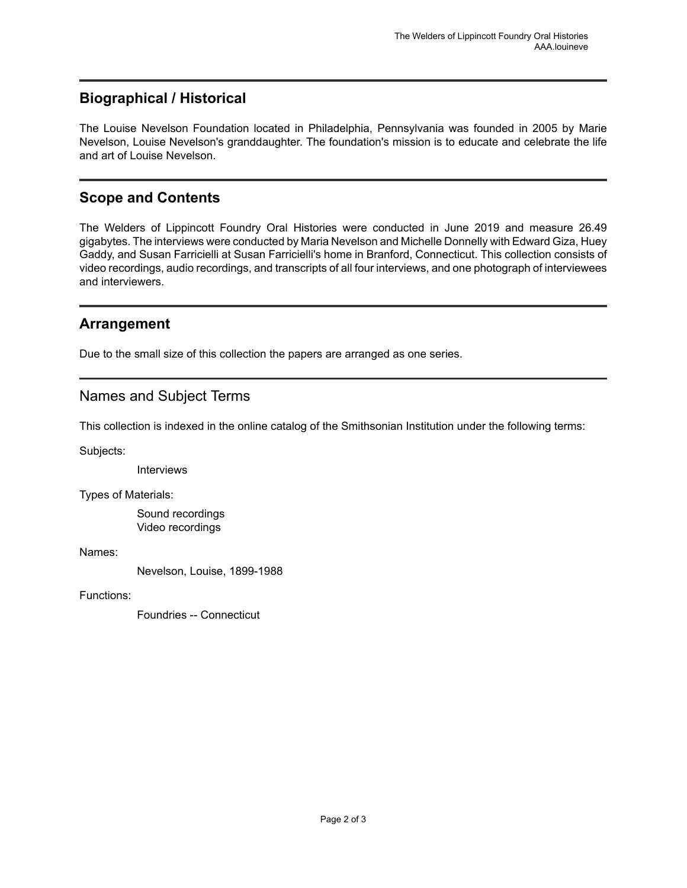## <span id="page-3-0"></span>**Biographical / Historical**

The Louise Nevelson Foundation located in Philadelphia, Pennsylvania was founded in 2005 by Marie Nevelson, Louise Nevelson's granddaughter. The foundation's mission is to educate and celebrate the life and art of Louise Nevelson.

## <span id="page-3-2"></span>**Scope and Contents**

The Welders of Lippincott Foundry Oral Histories were conducted in June 2019 and measure 26.49 gigabytes. The interviews were conducted by Maria Nevelson and Michelle Donnelly with Edward Giza, Huey Gaddy, and Susan Farricielli at Susan Farricielli's home in Branford, Connecticut. This collection consists of video recordings, audio recordings, and transcripts of all four interviews, and one photograph of interviewees and interviewers.

## <span id="page-3-1"></span>**Arrangement**

Due to the small size of this collection the papers are arranged as one series.

## <span id="page-3-3"></span>Names and Subject Terms

This collection is indexed in the online catalog of the Smithsonian Institution under the following terms:

Subjects:

Interviews

Types of Materials:

Sound recordings Video recordings

Names:

Nevelson, Louise, 1899-1988

Functions:

Foundries -- Connecticut